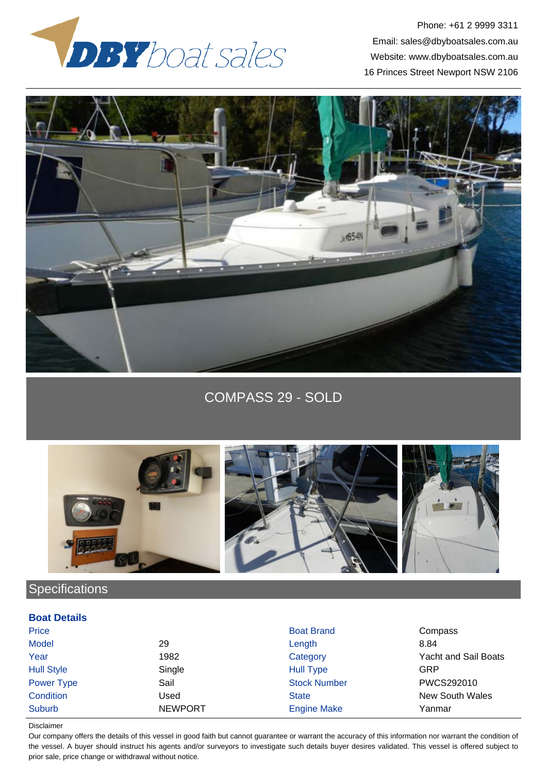

Phone: +61 2 9999 3311 Email: sales@dbyboatsales.com.au Website: www.dbyboatsales.com.au 16 Princes Street Newport NSW 2106



COMPASS 29 - SOLD



## **Specifications**

## **Boat Details**

| Price             |                | <b>Boat Brand</b>   | Compass                     |
|-------------------|----------------|---------------------|-----------------------------|
| <b>Model</b>      | 29             | Length              | 8.84                        |
| Year              | 1982           | Category            | <b>Yacht and Sail Boats</b> |
| <b>Hull Style</b> | Single         | <b>Hull Type</b>    | GRP                         |
| Power Type        | Sail           | <b>Stock Number</b> | PWCS292010                  |
| Condition         | Used           | <b>State</b>        | <b>New South Wales</b>      |
| <b>Suburb</b>     | <b>NEWPORT</b> | <b>Engine Make</b>  | Yanmar                      |

## Disclaimer

Our company offers the details of this vessel in good faith but cannot guarantee or warrant the accuracy of this information nor warrant the condition of the vessel. A buyer should instruct his agents and/or surveyors to investigate such details buyer desires validated. This vessel is offered subject to prior sale, price change or withdrawal without notice.